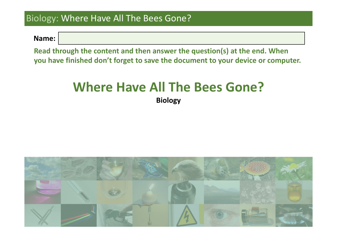**Name:**

**Read through the content and then answer the question(s) at the end. When you have finished don't forget to save the document to your device or computer.**

# **Where Have All The Bees Gone?**

**Biology**

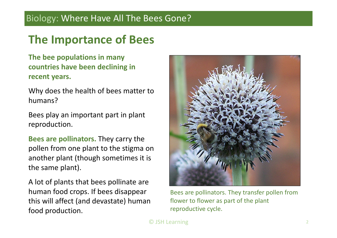## **The Importance of Bees**

**The bee populations in many countries have been declining in recent years.**

Why does the health of bees matter to humans?

Bees play an important part in plant reproduction.

**Bees are pollinators.** They carry the pollen from one plant to the stigma on another plant (though sometimes it is the same plant).

A lot of plants that bees pollinate are human food crops. If bees disappear this will affect (and devastate) human food production.



Bees are pollinators. They transfer pollen from flower to flower as part of the plant reproductive cycle.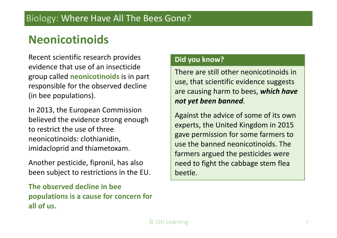## **Neonicotinoids**

Recent scientific research provides evidence that use of an insecticide group called **neonicotinoids** is in part responsible for the observed decline (in bee populations).

In 2013, the European Commission believed the evidence strong enough to restrict the use of three neonicotinoids: clothianidin, imidacloprid and thiametoxam.

Another pesticide, fipronil, has also been subject to restrictions in the EU.

**The observed decline in bee populations is <sup>a</sup> cause for concern for all of us.**

#### **Did you know?**

There are still other neonicotinoids in use, that scientific evidence suggests are causing harm to bees, *which have not yet been banned*.

Against the advice of some of its own experts, the United Kingdom in 2015 gave permission for some farmers to use the banned neonicotinoids. The farmers argued the pesticides were need to fight the cabbage stem flea beetle.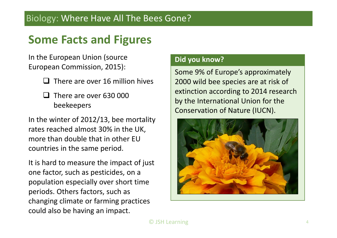## **Some Facts and Figures**

In the European Union (source European Commission, 2015):

- $\Box$  There are over 16 million hives
- $\Box$  There are over 630 000 beekeepers

In the winter of 2012/13, bee mortality rates reached almost 30% in the UK, more than double that in other EUcountries in the same period.

It is hard to measure the impact of just one factor, such as pesticides, on <sup>a</sup> population especially over short time periods. Others factors, such as changing climate or farming practices could also be having an impact.

#### **Did you know?**

Some 9% of Europe's approximately 2000 wild bee species are at risk of extinction according to 2014 research by the International Union for the Conservation of Nature (IUCN).

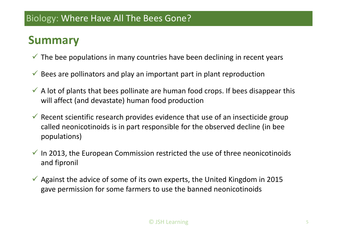## **Summary**

- $\checkmark$  The bee populations in many countries have been declining in recent years
- $\checkmark$  Bees are pollinators and play an important part in plant reproduction
- $\checkmark$  A lot of plants that bees pollinate are human food crops. If bees disappear this will affect (and devastate) human food production
- $\checkmark$  Recent scientific research provides evidence that use of an insecticide group called neonicotinoids is in part responsible for the observed decline (in bee populations)
- $\checkmark$  In 2013, the European Commission restricted the use of three neonicotinoids and fipronil
- $\checkmark$  Against the advice of some of its own experts, the United Kingdom in 2015 gave permission for some farmers to use the banned neonicotinoids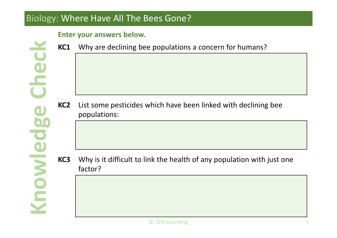#### **Enter your answers below.**

**Check**

**owledgenK**

Spalwow

**KC1**Why are declining bee populations a concern for humans?

**KC2** List some pesticides which have been linked with declining bee populations:

**KC3** Why is it difficult to link the health of any population with just one factor?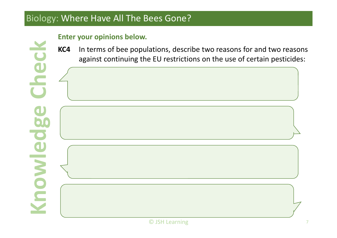#### **Enter your opinions below.**

**Check**

**owledgenK**

**Knowledg** 

**KC4**4 In terms of bee populations, describe two reasons for and two reasons against continuing the EU restrictions on the use of certain pesticides: